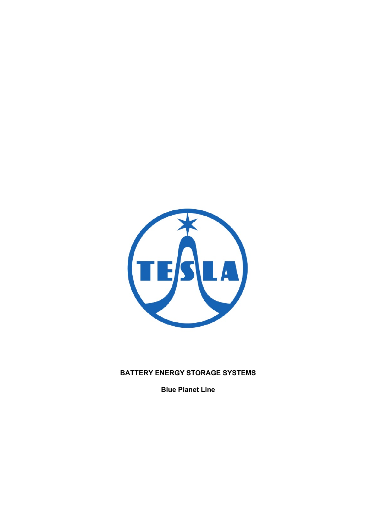

## **BATTERY ENERGY STORAGE SYSTEMS**

**Blue Planet Line**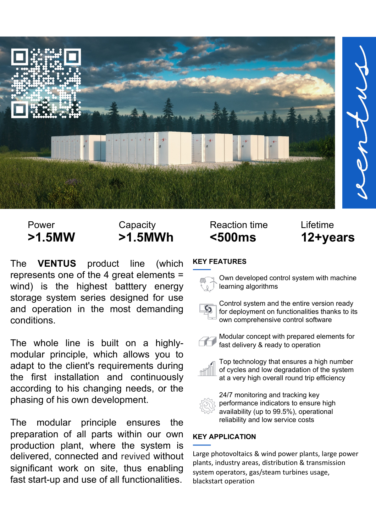

The **VENTUS** product line (which represents one of the 4 great elements = wind) is the highest batttery energy storage system series designed for use and operation in the most demanding conditions.

The whole line is built on a highlymodular principle, which allows you to adapt to the client's requirements during the first installation and continuously according to his changing needs, or the phasing of his own development.

The modular principle ensures the preparation of all parts within our own production plant, where the system is delivered, connected and revived without significant work on site, thus enabling fast start-up and use of all functionalities.

# Power Capacity Reaction time Lifetime **>1.5MW >1.5MWh <500ms 12+years**

## **KEY FEATURES**



Own developed control system with machine learning algorithms



Control system and the entire version ready for deployment on functionalities thanks to its own comprehensive control software



Modular concept with prepared elements for fast delivery & ready to operation



Top technology that ensures a high number of cycles and low degradation of the system at a very high overall round trip efficiency



24/7 monitoring and tracking key performance indicators to ensure high availability (up to 99.5%), operational reliability and low service costs

## **KEY APPLICATION**

Large photovoltaics & wind power plants, large power plants, industry areas, distribution & transmission system operators, gas/steam turbines usage, blackstart operation